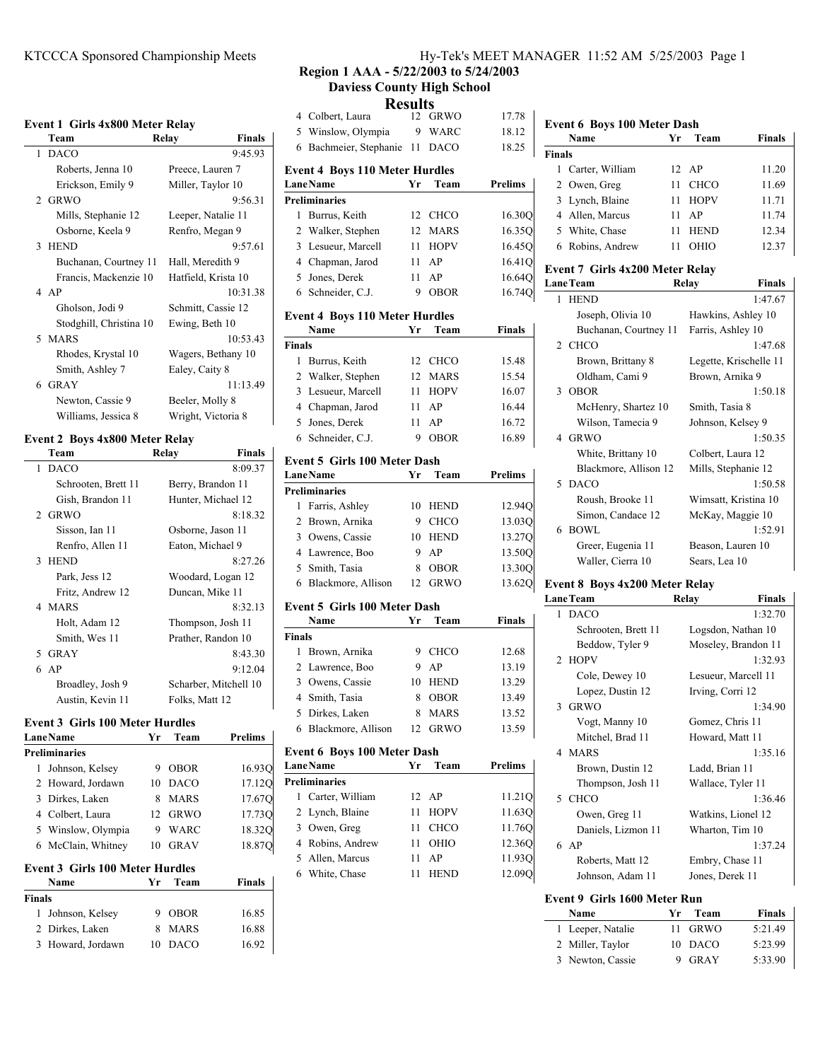### **Event 1 Girls 4x800 Meter Relay**

|    | $\mathbf{u}$ . The matrix $\mathbf{u}$ |                        |
|----|----------------------------------------|------------------------|
|    | Team                                   | Relay<br><b>Finals</b> |
| 1. | <b>DACO</b>                            | 9:45.93                |
|    | Roberts, Jenna 10                      | Preece, Lauren 7       |
|    | Erickson, Emily 9                      | Miller, Taylor 10      |
|    | 2 GRWO                                 | 9:56.31                |
|    | Mills, Stephanie 12                    | Leeper, Natalie 11     |
|    | Osborne, Keela 9                       | Renfro, Megan 9        |
|    | 3 HEND                                 | 9:57.61                |
|    | Buchanan, Courtney 11                  | Hall, Meredith 9       |
|    | Francis, Mackenzie 10                  | Hatfield, Krista 10    |
|    | 4AP                                    | 10:31.38               |
|    | Gholson, Jodi 9                        | Schmitt, Cassie 12     |
|    | Stodghill, Christina 10                | Ewing, Beth 10         |
|    | 5 MARS                                 | 10:53.43               |
|    | Rhodes, Krystal 10                     | Wagers, Bethany 10     |
|    | Smith, Ashley 7                        | Ealey, Caity 8         |
|    | 6 GRAY                                 | 11:13.49               |
|    | Newton, Cassie 9                       | Beeler, Molly 8        |
|    | Williams, Jessica 8                    | Wright, Victoria 8     |

### **Event 2 Boys 4x800 Meter Relay**

| Team          |                     | Relay | <b>Finals</b>         |
|---------------|---------------------|-------|-----------------------|
| 1 DACO        |                     |       | 8:09.37               |
|               | Schrooten, Brett 11 |       | Berry, Brandon 11     |
|               | Gish, Brandon 11    |       | Hunter, Michael 12    |
| 2 GRWO        |                     |       | 8:18.32               |
|               | Sisson, Ian 11      |       | Osborne, Jason 11     |
|               | Renfro, Allen 11    |       | Eaton, Michael 9      |
| 3 HEND        |                     |       | 8:27.26               |
| Park, Jess 12 |                     |       | Woodard, Logan 12     |
|               | Fritz, Andrew 12    |       | Duncan, Mike 11       |
| 4 MARS        |                     |       | 8:32.13               |
|               | Holt, Adam 12       |       | Thompson, Josh 11     |
|               | Smith, Wes 11       |       | Prather, Randon 10    |
| 5 GRAY        |                     |       | 8:43.30               |
| 6 AP          |                     |       | 9:12.04               |
|               | Broadley, Josh 9    |       | Scharber, Mitchell 10 |
|               | Austin, Kevin 11    |       | Folks, Matt 12        |
|               |                     |       |                       |

 $\mathbf{r}$ 

# **Event 3 Girls 100 Meter Hurdles**<br>**Lane Name Wr** Team

|                                        | <b>LaneName</b>      | Yr | Team        | <b>Prelims</b> |  |
|----------------------------------------|----------------------|----|-------------|----------------|--|
|                                        | <b>Preliminaries</b> |    |             |                |  |
| 1                                      | Johnson, Kelsey      | 9  | <b>OBOR</b> | 16.930         |  |
|                                        | 2 Howard, Jordawn    | 10 | <b>DACO</b> | 17.12O         |  |
| 3                                      | Dirkes, Laken        | 8  | <b>MARS</b> | 17.670         |  |
|                                        | 4 Colbert, Laura     | 12 | <b>GRWO</b> | 17.730         |  |
|                                        | 5 Winslow, Olympia   | 9  | <b>WARC</b> | 18.32Q         |  |
|                                        | 6 McClain, Whitney   | 10 | <b>GRAV</b> | 18.870         |  |
| <b>Event 3 Girls 100 Meter Hurdles</b> |                      |    |             |                |  |
|                                        | Name                 | Yr | Team        | <b>Finals</b>  |  |
| <b>Finals</b>                          |                      |    |             |                |  |
| 1                                      | Johnson, Kelsey      | 9  | <b>OBOR</b> | 16.85          |  |
|                                        | 2 Dirkes, Laken      | 8  | <b>MARS</b> | 16.88          |  |
| 3                                      | Howard, Jordawn      | 10 | DACO        | 16.92          |  |

KTCCCA Sponsored Championship Meets Hy-Tek's MEET MANAGER 11:52 AM 5/25/2003 Page 1

**Region 1 AAA - 5/22/2003 to 5/24/2003 Daviess County High School**

|                | 11 U.S                                                |    | LLJ         |                |
|----------------|-------------------------------------------------------|----|-------------|----------------|
| 4              | Colbert, Laura                                        | 12 | <b>GRWO</b> | 17.78          |
| 5              | Winslow, Olympia                                      | 9  | WARC        | 18.12          |
| 6              | Bachmeier, Stephanie                                  | 11 | <b>DACO</b> | 18.25          |
|                | <b>Event 4 Boys 110 Meter Hurdles</b>                 |    |             |                |
|                | <b>LaneName</b>                                       | Yr | Team        | <b>Prelims</b> |
|                | <b>Preliminaries</b>                                  |    |             |                |
| 1              | Burrus, Keith                                         | 12 | CHCO        | 16.30Q         |
| 2              | Walker, Stephen                                       | 12 | <b>MARS</b> | 16.35Q         |
| 3              | Lesueur, Marcell                                      | 11 | <b>HOPV</b> | 16.450         |
| $\overline{4}$ | Chapman, Jarod                                        | 11 | AP          | 16.410         |
| 5              | Jones, Derek                                          | 11 | AP          | 16.64Q         |
| 6              | Schneider, C.J.                                       | 9  | OBOR        | 16.74Q         |
|                | <b>Event 4 Boys 110 Meter Hurdles</b>                 |    |             |                |
|                | Name                                                  | Yr | Team        | <b>Finals</b>  |
| <b>Finals</b>  |                                                       |    |             |                |
| 1              | Burrus, Keith                                         | 12 | <b>CHCO</b> | 15.48          |
| 2              | Walker, Stephen                                       | 12 | <b>MARS</b> | 15.54          |
| 3              | Lesueur, Marcell                                      | 11 | <b>HOPV</b> | 16.07          |
| $\overline{4}$ | Chapman, Jarod                                        | 11 | AP          | 16.44          |
| 5              | Jones, Derek                                          | 11 | AP          | 16.72          |
| 6              | Schneider, C.J.                                       | 9  | OBOR        | 16.89          |
|                | <b>Event 5 Girls 100 Meter Dash</b>                   |    |             |                |
|                | <b>LaneName</b>                                       | Yr | Team        | Prelims        |
|                | <b>Preliminaries</b>                                  |    |             |                |
| 1              | Farris, Ashley                                        | 10 | <b>HEND</b> | 12.94Q         |
| 2              | Brown, Arnika                                         | 9  | <b>CHCO</b> | 13.03Q         |
| 3              | Owens, Cassie                                         | 10 | <b>HEND</b> | 13.27Q         |
| $\overline{4}$ | Lawrence, Boo                                         | 9  | AP          | 13.50Q         |
| 5              | Smith, Tasia                                          | 8  | OBOR        | 13.30Q         |
| 6              | Blackmore, Allison                                    | 12 | <b>GRWO</b> | 13.62Q         |
|                | <b>Event 5 Girls 100 Meter Dash</b>                   |    |             |                |
|                | Name                                                  | Yr | Team        | Finals         |
| <b>Finals</b>  |                                                       |    |             |                |
| 1              | Brown, Arnika                                         | 9  | CHCO        | 12.68          |
| 2              | Lawrence, Boo                                         | 9  | AP          | 13.19          |
| 3              | Owens, Cassie                                         | 10 | <b>HEND</b> | 13.29          |
| 4              | Smith, Tasia                                          | 8  | <b>OBOR</b> | 13.49          |
| 5              | Dirkes, Laken                                         | 8  | MARS        | 13.52          |
| 6              | Blackmore, Allison                                    | 12 | GRWO        | 13.59          |
|                | <b>Event 6 Boys 100 Meter Dash</b><br><b>LaneName</b> | Yr | Team        | <b>Prelims</b> |
|                | <b>Preliminaries</b>                                  |    |             |                |
| 1              | Carter, William                                       | 12 | AP          | 11.21Q         |
| 2              | Lynch, Blaine                                         | 11 | HOPV        | 11.63Q         |
|                | 3 Owen, Greg                                          | 11 | CHCO        | 11.76Q         |
|                | 4 Robins, Andrew                                      | 11 | OHIO        | 12.36Q         |
| 5              | Allen, Marcus                                         | 11 | AP          | 11.93Q         |
| 6              | White, Chase                                          | 11 | <b>HEND</b> | 12.09Q         |
|                |                                                       |    |             |                |
|                |                                                       |    |             |                |

### **Event 6 Boys 100 Meter Dash Name Yr Team Finals Finals** 1 Carter, William 12 AP 11.20 2 Owen, Greg 11 CHCO 11.69 3 Lynch, Blaine 11 HOPV 11.71 4 11.74 Allen, Marcus 11 AP 5 12.34 White, Chase 11 HEND 6 12.37 Robins, Andrew 11 OHIO

# **Event 7 Girls 4x200 Meter Relay**

| Lane Team |                       | Relay                | <b>Finals</b>          |
|-----------|-----------------------|----------------------|------------------------|
| 1         | <b>HEND</b>           |                      | 1:47.67                |
|           | Joseph, Olivia 10     | Hawkins, Ashley 10   |                        |
|           | Buchanan, Courtney 11 | Farris, Ashley 10    |                        |
|           | 2 CHCO                |                      | 1:47.68                |
|           | Brown, Brittany 8     |                      | Legette, Krischelle 11 |
|           | Oldham, Cami 9        | Brown, Arnika 9      |                        |
|           | 3 OBOR                |                      | 1:50.18                |
|           | McHenry, Shartez 10   | Smith, Tasia 8       |                        |
|           | Wilson, Tamecia 9     | Johnson, Kelsey 9    |                        |
|           | 4 GRWO                |                      | 1:50.35                |
|           | White, Brittany 10    | Colbert, Laura 12    |                        |
|           | Blackmore, Allison 12 | Mills, Stephanie 12  |                        |
|           | 5 DACO                |                      | 1:50.58                |
|           | Roush, Brooke 11      | Wimsatt, Kristina 10 |                        |
|           | Simon, Candace 12     | McKay, Maggie 10     |                        |
|           | 6 BOWL                |                      | 1:52.91                |
|           | Greer, Eugenia 11     | Beason, Lauren 10    |                        |
|           | Waller, Cierra 10     | Sears, Lea 10        |                        |
|           |                       |                      |                        |

### **Event 8 Boys 4x200 Meter Relay**

| Relay<br>Finals     |
|---------------------|
| 1:32.70             |
| Logsdon, Nathan 10  |
| Moseley, Brandon 11 |
| 1:32.93             |
| Lesueur, Marcell 11 |
| Irving, Corri 12    |
| 1:34.90             |
| Gomez, Chris 11     |
| Howard, Matt 11     |
| 1:35.16             |
| Ladd, Brian 11      |
| Wallace, Tyler 11   |
| 1:36.46             |
| Watkins, Lionel 12  |
| Wharton, Tim 10     |
| 1:37.24             |
| Embry, Chase 11     |
| Jones, Derek 11     |
|                     |

### **Event 9 Girls 1600 Meter Run**

| <b>Name</b>       | Team<br>Yr | <b>Finals</b> |
|-------------------|------------|---------------|
| 1 Leeper, Natalie | 11 GRWO    | 5:21.49       |
| 2 Miller, Taylor  | 10 DACO    | 5:23.99       |
| 3 Newton, Cassie  | 9 GRAY     | 5:33.90       |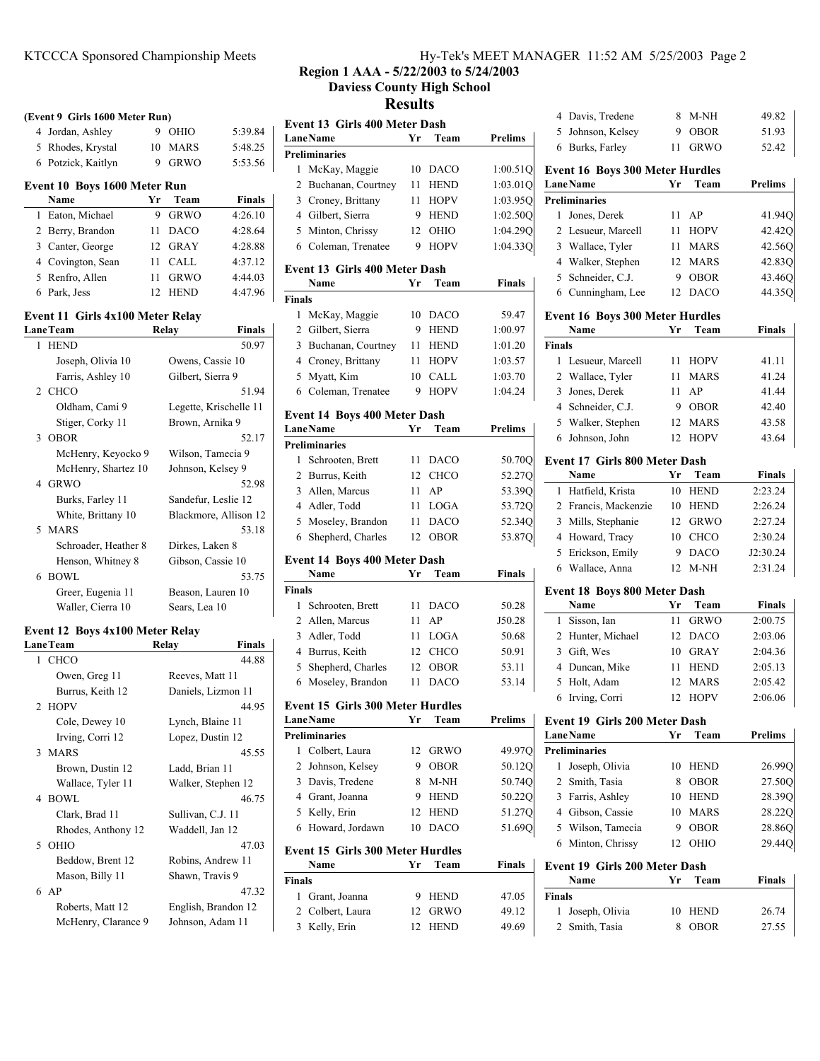4 Jordan, Ashley 9 OHIO 5:39.84 5 5:48.25 Rhodes, Krystal 10 MARS 6 5:53.56 Potzick, Kaitlyn 9 GRWO

**Name Yr Team Finals** 1 Eaton, Michael 9 GRWO 4:26.10 2 Berry, Brandon 11 DACO 4:28.64 3 Canter, George 12 GRAY 4:28.88 4 4:37.12 Covington, Sean 11 CALL 5 Renfro, Allen 11 GRWO 4:44.03 6 4:47.96 Park, Jess 12 HEND

**LaneTeam Relay Finals** 1 50.97 HEND Joseph, Olivia 10 Owens, Cassie 10 Farris, Ashley 10 Gilbert, Sierra 9 2 CHCO 51.94 Oldham, Cami 9 Legette, Krischelle 11 Stiger, Corky 11 Brown, Arnika 9 3 52.17 OBOR McHenry, Keyocko 9 Wilson, Tamecia 9 McHenry, Shartez 10 Johnson, Kelsey 9 4 52.98 GRWO Burks, Farley 11 Sandefur, Leslie 12 White, Brittany 10 Blackmore, Allison 12 5 53.18 MARS Schroader, Heather 8 Dirkes, Laken 8 Henson, Whitney 8 Gibson, Cassie 10 6 53.75 BOWL Greer, Eugenia 11 Beason, Lauren 10 Waller, Cierra 10 Sears, Lea 10

**(Event 9 Girls 1600 Meter Run)**

**Event 10 Boys 1600 Meter Run**

**Event 11 Girls 4x100 Meter Relay**

**Event 12 Boys 4x100 Meter Relay**

LaneTeam Relay Finals 1 CHCO 44.88 Owen, Greg 11 Reeves, Matt 11 Burrus, Keith 12 Daniels, Lizmon 11 2 HOPV 44.95 Cole, Dewey 10 Lynch, Blaine 11 Irving, Corri 12 Lopez, Dustin 12 3 45.55 MARS Brown, Dustin 12 Ladd, Brian 11 Wallace, Tyler 11 Walker, Stephen 12 4 46.75 BOWL Clark, Brad 11 Sullivan, C.J. 11 Rhodes, Anthony 12 Waddell, Jan 12 5 47.03 OHIO Beddow, Brent 12 Robins, Andrew 11 Mason, Billy 11 Shawn, Travis 9 6 AP 47.32 Roberts, Matt 12 English, Brandon 12 McHenry, Clarance 9 Johnson, Adam 11

### KTCCCA Sponsored Championship Meets Hy-Tek's MEET MANAGER 11:52 AM 5/25/2003 Page 2

**Region 1 AAA - 5/22/2003 to 5/24/2003**

**Daviess County High School**

**Results**

| Event 13 Girls 400 Meter Dash<br><b>LaneName</b> | Yr | Team        | Prelims        |
|--------------------------------------------------|----|-------------|----------------|
| <b>Preliminaries</b>                             |    |             |                |
| McKay, Maggie<br>1                               | 10 | DACO        | 1:00.51Q       |
| 2<br>Buchanan, Courtney                          | 11 | <b>HEND</b> | 1:03.01Q       |
| 3                                                |    |             |                |
| Croney, Brittany                                 | 11 | <b>HOPV</b> | 1:03.95Q       |
| Gilbert, Sierra<br>4                             | 9  | <b>HEND</b> | 1:02.50Q       |
| 5 Minton, Chrissy                                | 12 | OHIO        | 1:04.29Q       |
| Coleman, Trenatee<br>6                           | 9  | <b>HOPV</b> | 1:04.33Q       |
| <b>Event 13 Girls 400 Meter Dash</b><br>Name     | Yr | Team        | Finals         |
| <b>Finals</b>                                    |    |             |                |
| McKay, Maggie<br>1                               | 10 | <b>DACO</b> | 59.47          |
| 2<br>Gilbert, Sierra                             | 9  | <b>HEND</b> | 1:00.97        |
| 3<br>Buchanan, Courtney                          | 11 | <b>HEND</b> | 1:01.20        |
| Croney, Brittany<br>4                            | 11 | <b>HOPV</b> | 1:03.57        |
| Myatt, Kim<br>5                                  | 10 | <b>CALL</b> | 1:03.70        |
| 6<br>Coleman, Trenatee                           | 9  | <b>HOPV</b> | 1:04.24        |
|                                                  |    |             |                |
| Event 14 Boys 400 Meter Dash                     |    |             |                |
| <b>LaneName</b>                                  | Yr | Team        | <b>Prelims</b> |
| <b>Preliminaries</b>                             |    |             |                |
| Schrooten, Brett<br>1                            | 11 | DACO        | 50.700         |
| $\overline{2}$<br>Burrus, Keith                  | 12 | CHCO        | 52.27Q         |
| 3<br>Allen, Marcus                               | 11 | AP          | 53.39Q         |
| Adler, Todd<br>4                                 | 11 | LOGA        | 53.72Q         |
| 5<br>Moseley, Brandon                            | 11 | DACO        | 52.34Q         |
| Shepherd, Charles<br>6                           | 12 | <b>OBOR</b> | 53.87Q         |
| Event 14 Boys 400 Meter Dash                     |    |             |                |
| Name                                             | Yr | Team        | Finals         |
| <b>Finals</b>                                    |    |             |                |
| 1<br>Schrooten, Brett                            | 11 | DACO        | 50.28          |
| 2<br>Allen, Marcus                               | 11 | AP          | J50.28         |
| 3<br>Adler, Todd                                 | 11 | LOGA        | 50.68          |
| Burrus, Keith<br>4                               | 12 | <b>CHCO</b> | 50.91          |
| 5<br>Shepherd, Charles                           | 12 | OBOR        | 53.11          |
| Moseley, Brandon<br>6                            | 11 | <b>DACO</b> | 53.14          |
| <b>Event 15 Girls 300 Meter Hurdles</b>          |    |             |                |
| <b>LaneName</b>                                  | Yr | Team        | <b>Prelims</b> |
| <b>Preliminaries</b>                             |    |             |                |
| Colbert, Laura<br>1                              | 12 | GRWO        | 49.97Q         |
| 2<br>Johnson, Kelsey                             | 9  | <b>OBOR</b> | 50.12Q         |
| Davis, Tredene<br>3                              | 8  | M-NH        | 50.74Q         |
| 4<br>Grant, Joanna                               | 9  | <b>HEND</b> | 50.220         |
| 5<br>Kelly, Erin                                 | 12 | <b>HEND</b> | 51.27Q         |
| Howard, Jordawn<br>6                             | 10 | DACO        | 51.69Q         |
| <b>Event 15 Girls 300 Meter Hurdles</b>          |    |             |                |
| Name                                             | Yr | Team        | Finals         |
| <b>Finals</b>                                    |    |             |                |
| 1<br>Grant, Joanna                               | 9  | <b>HEND</b> | 47.05          |
| 2<br>Colbert, Laura                              | 12 | <b>GRWO</b> | 49.12          |
| 3 Kelly, Erin                                    |    | 12 HEND     | 49.69          |

| Davis, Tredene<br>4                                     | 8        | M-NH                       | 49.82              |
|---------------------------------------------------------|----------|----------------------------|--------------------|
| Johnson, Kelsey<br>5                                    | 9        | <b>OBOR</b>                | 51.93              |
| Burks, Farley<br>6                                      | 11       | <b>GRWO</b>                | 52.42              |
| <b>Event 16 Boys 300 Meter Hurdles</b>                  |          |                            |                    |
| <b>LaneName</b>                                         | Yr       | Team                       | <b>Prelims</b>     |
| <b>Preliminaries</b>                                    |          |                            |                    |
| Jones, Derek<br>1                                       | 11 -     | AP                         | 41.94Q             |
| 2 Lesueur, Marcell                                      |          | 11 HOPV                    | 42.42Q             |
| 3 Wallace, Tyler                                        |          | 11 MARS                    | 42.56Q             |
| 4 Walker, Stephen                                       | 12       | MARS                       | 42.83O             |
| Schneider, C.J.<br>5                                    | 9        | <b>OBOR</b>                | 43.46Q             |
| Cunningham, Lee<br>6                                    | 12       | <b>DACO</b>                | 44.35O             |
| <b>Event 16 Boys 300 Meter Hurdles</b><br>Name          | Yr       | Team                       | Finals             |
| <b>Finals</b>                                           |          |                            |                    |
| 1 Lesueur, Marcell                                      |          | 11 HOPV                    | 41.11              |
| 2 Wallace, Tyler                                        | 11 -     | <b>MARS</b>                | 41.24              |
| 3 Jones, Derek                                          | 11       | AP                         | 41.44              |
| 4 Schneider, C.J.                                       | 9        | <b>OBOR</b>                | 42.40              |
| 5 Walker, Stephen                                       | 12       | <b>MARS</b>                | 43.58              |
| Johnson, John<br>6                                      | $12-12$  | <b>HOPV</b>                | 43.64              |
|                                                         |          |                            |                    |
| Event 17 Girls 800 Meter Dash                           |          |                            |                    |
| Name                                                    | Yr       | Team                       | Finals             |
| Hatfield, Krista<br>1                                   | 10       | <b>HEND</b>                | 2:23.24            |
| 2 Francis, Mackenzie                                    |          | 10 HEND                    | 2:26.24            |
| 3 Mills, Stephanie                                      |          | 12 GRWO                    | 2:27.24            |
| 4 Howard, Tracy                                         | 10       | <b>CHCO</b>                | 2:30.24            |
| 5 Erickson, Emily                                       | 9        | <b>DACO</b>                | J2:30.24           |
| 6 Wallace, Anna                                         |          | 12 M-NH                    | 2:31.24            |
| Event 18 Boys 800 Meter Dash<br>Name                    | Yr       | Team                       | Finals             |
|                                                         | 11       |                            |                    |
| Sisson, Ian<br>1                                        | 12       | <b>GRWO</b>                | 2:00.75            |
| Hunter, Michael<br>$\mathbf{2}$                         |          | <b>DACO</b>                | 2:03.06            |
| 3 Gift, Wes                                             | 10       | GRAY                       | 2:04.36            |
| 4 Duncan, Mike                                          | 11       | <b>HEND</b>                | 2:05.13            |
| Holt, Adam<br>5<br>6<br>Irving, Corri                   | 12<br>12 | <b>MARS</b><br><b>HOPV</b> | 2:05.42<br>2:06.06 |
|                                                         |          |                            |                    |
| <b>Event 19 Girls 200 Meter Dash</b><br><b>LaneName</b> | Yr       | Team                       | <b>Prelims</b>     |
| <b>Preliminaries</b>                                    |          |                            |                    |
| Joseph, Olivia<br>1                                     | 10       | <b>HEND</b>                | 26.99C             |
| Smith, Tasia<br>2                                       | 8        | <b>OBOR</b>                | 27.50Q             |
| Farris, Ashley<br>3                                     | 10       | <b>HEND</b>                | 28.39Q             |
| 4 Gibson, Cassie                                        | $10-10$  | MARS                       | 28.22Q             |
| 5 Wilson, Tamecia                                       | 9        | <b>OBOR</b>                | 28.86 <sub>C</sub> |
| Minton, Chrissy<br>6                                    | 12       | OHIO                       | 29.440             |
| Event 19 Girls 200 Meter Dash                           |          |                            |                    |
| Name                                                    | Yr       | Team                       | <b>Finals</b>      |
| <b>Finals</b>                                           |          |                            |                    |
| Joseph, Olivia<br>1                                     | 10       | HEND                       | 26.74              |
| Smith, Tasia<br>2                                       | 8        | OBOR                       | 27.55              |
|                                                         |          |                            |                    |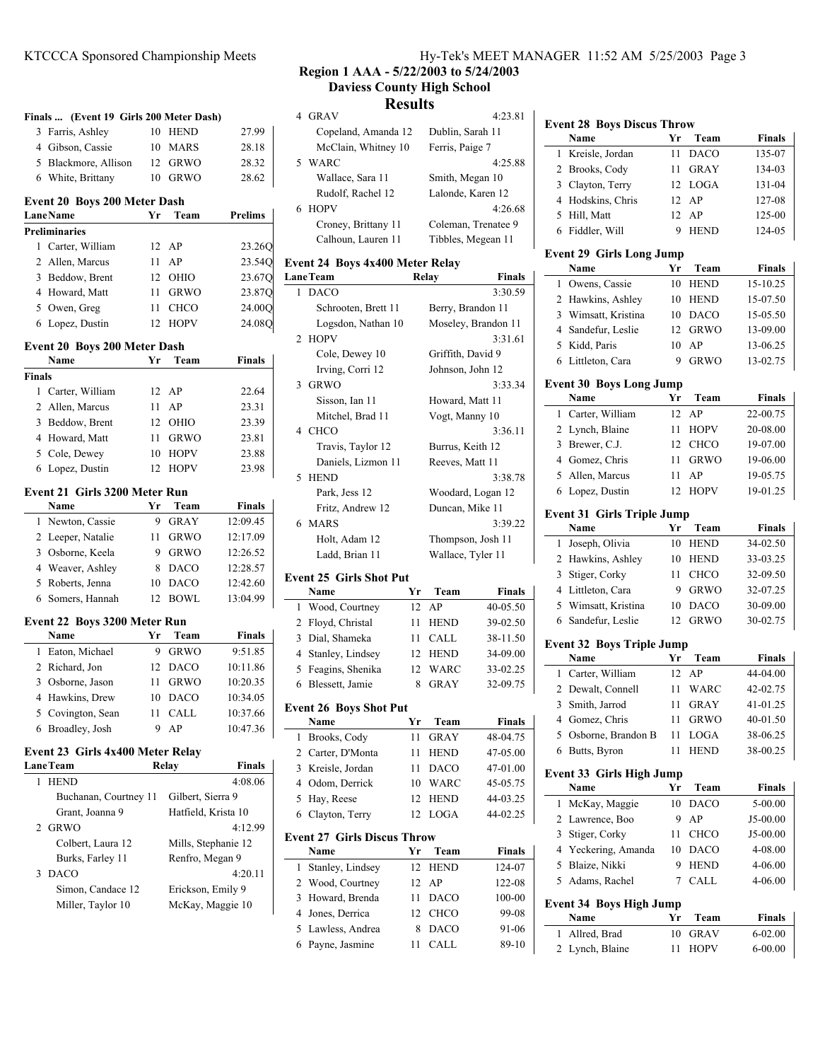| Finals  (Event 19 Girls 200 Meter Dash)                 |    |                     |                     |
|---------------------------------------------------------|----|---------------------|---------------------|
| 3<br>Farris, Ashley                                     | 10 | <b>HEND</b>         | 27.99               |
| 4 Gibson, Cassie                                        | 10 | <b>MARS</b>         | 28.18               |
| 5 Blackmore, Allison                                    |    | 12 GRWO             | 28.32               |
| White, Brittany<br>6                                    | 10 | <b>GRWO</b>         | 28.62               |
| <b>Event 20 Boys 200 Meter Dash</b><br><b>Lane Name</b> | Yr | Team                | Prelims             |
| <b>Preliminaries</b>                                    |    |                     |                     |
| 1 Carter, William                                       | 12 | AP                  | 23.26Q              |
| 2<br>Allen, Marcus                                      | 11 | AP                  | 23.54Q              |
| 3<br>Beddow, Brent                                      | 12 | OHIO                | 23.67Q              |
| Howard, Matt<br>4                                       | 11 | <b>GRWO</b>         | 23.870              |
| 5 Owen, Greg                                            | 11 | <b>CHCO</b>         | 24.00Q              |
| Lopez, Dustin<br>6                                      | 12 | <b>HOPV</b>         | 24.08Q              |
|                                                         |    |                     |                     |
| <b>Event 20 Boys 200 Meter Dash</b>                     |    |                     |                     |
| Name                                                    | Yr | Team                | Finals              |
| <b>Finals</b>                                           |    |                     |                     |
| 1 Carter, William                                       | 12 | AP                  | 22.64               |
| 2<br>Allen, Marcus                                      | 11 | AP                  | 23.31               |
| 3<br>Beddow, Brent                                      | 12 | OHIO                | 23.39               |
| 4<br>Howard, Matt                                       | 11 | <b>GRWO</b>         | 23.81               |
| 5<br>Cole, Dewey                                        | 10 | <b>HOPV</b>         | 23.88               |
| Lopez, Dustin<br>6                                      | 12 | <b>HOPV</b>         | 23.98               |
| <b>Event 21 Girls 3200 Meter Run</b>                    |    |                     |                     |
| Name                                                    | Yr | Team                | Finals              |
| Newton, Cassie<br>1                                     | 9  | GRAY                | 12:09.45            |
| 2<br>Leeper, Natalie                                    | 11 | <b>GRWO</b>         | 12:17.09            |
| Osborne, Keela<br>3                                     | 9  | <b>GRWO</b>         | 12:26.52            |
| 4<br>Weaver, Ashley                                     | 8  | DACO                | 12:28.57            |
| 5<br>Roberts, Jenna                                     | 10 | <b>DACO</b>         | 12:42.60            |
| Somers, Hannah<br>6                                     | 12 | <b>BOWL</b>         | 13:04.99            |
| Event 22 Boys 3200 Meter Run                            |    |                     |                     |
| Name                                                    | Yr | Team                | Finals              |
| Eaton, Michael<br>1                                     | 9  | <b>GRWO</b>         | 9:51.85             |
| Richard, Jon<br>2                                       | 12 | <b>DACO</b>         | 10:11.86            |
| 3<br>Osborne, Jason                                     | 11 | <b>GRWO</b>         | 10:20.35            |
| Hawkins, Drew<br>4                                      | 10 | <b>DACO</b>         | 10:34.05            |
| 5<br>Covington, Sean                                    | 11 | CALL                | 10:37.66            |
| 6<br>Broadley, Josh                                     | 9  | AP                  | 10:47.36            |
|                                                         |    |                     |                     |
| Event 23 Girls 4x400 Meter Relay<br><b>LaneTeam</b>     |    | Relay               | Finals              |
| <b>HEND</b><br>1                                        |    |                     | 4:08.06             |
| Buchanan, Courtney 11                                   |    | Gilbert, Sierra 9   |                     |
| Grant, Joanna 9                                         |    | Hatfield, Krista 10 |                     |
| GRWO<br>2                                               |    |                     | 4:12.99             |
| Colbert, Laura 12                                       |    |                     | Mills, Stephanie 12 |
| Burks, Farley 11                                        |    | Renfro, Megan 9     |                     |
| <b>DACO</b><br>3                                        |    |                     | 4:20.11             |
| Simon, Candace 12                                       |    | Erickson, Emily 9   |                     |
| Miller, Taylor 10                                       |    |                     | McKay, Maggie 10    |
|                                                         |    |                     |                     |

### KTCCCA Sponsored Championship Meets Hy-Tek's MEET MANAGER 11:52 AM 5/25/2003 Page 3

**Region 1 AAA - 5/22/2003 to 5/24/2003 Daviess County High School**

### **Results**

|    | <b>GRAV</b>         | 4:23.81             |
|----|---------------------|---------------------|
|    | Copeland, Amanda 12 | Dublin, Sarah 11    |
|    | McClain, Whitney 10 | Ferris, Paige 7     |
| 5. | WARC                | 4:25.88             |
|    | Wallace, Sara 11    | Smith, Megan 10     |
|    | Rudolf, Rachel 12   | Lalonde, Karen 12   |
| 6. | <b>HOPV</b>         | 4:26.68             |
|    | Croney, Brittany 11 | Coleman, Trenatee 9 |
|    | Calhoun, Lauren 11  | Tibbles, Megean 11  |
|    |                     |                     |

### **Event 24 Boys 4x400 Meter Relay**

|                                    | <b>LaneTeam</b>                       |    | Relay             | Finals              |  |
|------------------------------------|---------------------------------------|----|-------------------|---------------------|--|
| 3:30.59<br>1<br><b>DACO</b>        |                                       |    |                   |                     |  |
|                                    | Schrooten, Brett 11                   |    | Berry, Brandon 11 |                     |  |
|                                    | Logsdon, Nathan 10                    |    |                   | Moseley, Brandon 11 |  |
| 2                                  | <b>HOPV</b>                           |    |                   | 3:31.61             |  |
|                                    | Cole, Dewey 10                        |    | Griffith, David 9 |                     |  |
|                                    | Irving, Corri 12                      |    | Johnson, John 12  |                     |  |
| 3                                  | <b>GRWO</b>                           |    |                   | 3:33.34             |  |
|                                    | Sisson, Ian 11                        |    | Howard, Matt 11   |                     |  |
|                                    | Mitchel, Brad 11                      |    | Vogt, Manny 10    |                     |  |
| 4                                  | <b>CHCO</b>                           |    |                   | 3:36.11             |  |
|                                    | Travis, Taylor 12                     |    | Burrus, Keith 12  |                     |  |
|                                    | Daniels, Lizmon 11                    |    | Reeves, Matt 11   |                     |  |
| 5                                  | <b>HEND</b>                           |    | 3:38.78           |                     |  |
|                                    | Park, Jess 12                         |    | Woodard, Logan 12 |                     |  |
|                                    | Fritz, Andrew 12                      |    | Duncan, Mike 11   |                     |  |
| 6                                  | <b>MARS</b>                           |    |                   | 3:39.22             |  |
|                                    | Holt, Adam 12                         |    | Thompson, Josh 11 |                     |  |
|                                    | Ladd, Brian 11                        |    | Wallace, Tyler 11 |                     |  |
|                                    | <b>Event 25 Girls Shot Put</b>        |    |                   |                     |  |
|                                    | Name                                  | Yr | Team              | Finals              |  |
| 1                                  | Wood, Courtney                        | 12 | AP                | 40-05.50            |  |
| $\overline{c}$                     | Floyd, Christal                       | 11 | <b>HEND</b>       | 39-02.50            |  |
| 3                                  | Dial, Shameka                         | 11 | CALL              | 38-11.50            |  |
| 4                                  | Stanley, Lindsey                      | 12 | <b>HEND</b>       | 34-09.00            |  |
| 5                                  | Feagins, Shenika                      | 12 | WARC              | 33-02.25            |  |
| 6                                  | Blessett, Jamie                       | 8  | <b>GRAY</b>       | 32-09.75            |  |
|                                    |                                       |    |                   |                     |  |
|                                    | <b>Event 26 Boys Shot Put</b><br>Name | Yr | Team              | Finals              |  |
| 1                                  | Brooks, Cody                          | 11 | <b>GRAY</b>       | 48-04.75            |  |
| 2                                  | Carter, D'Monta                       | 11 | <b>HEND</b>       | 47-05.00            |  |
| 3                                  | Kreisle, Jordan                       | 11 | DACO              | 47-01.00            |  |
| 4                                  | Odom, Derrick                         | 10 | WARC              | 45-05.75            |  |
| 5                                  | Hay, Reese                            | 12 | <b>HEND</b>       | 44-03.25            |  |
| 6                                  | Clayton, Terry                        | 12 | LOGA              | 44-02.25            |  |
|                                    |                                       |    |                   |                     |  |
| <b>Event 27 Girls Discus Throw</b> |                                       |    |                   |                     |  |
|                                    | Name                                  | Yr | Team              | Finals              |  |
| 1                                  | Stanley, Lindsey                      | 12 | <b>HEND</b>       | 124-07              |  |
| $\overline{c}$                     | Wood, Courtney                        | 12 | AP                | 122-08              |  |
| 3                                  | Howard, Brenda                        | 11 | DACO              | 100-00              |  |
| $\overline{4}$                     | Jones, Derrica                        | 12 | CHCO              | 99-08               |  |
| 5                                  | Lawless, Andrea                       | 8  | <b>DACO</b>       | 91-06               |  |
| 6                                  | Payne, Jasmine                        | 11 | <b>CALL</b>       | 89-10               |  |

## **Event 28 Boys Discus Throw**

 $\mathbf{r}$ 

| 1                 | Name                                    | Yr       | Team                       | Finals                     |
|-------------------|-----------------------------------------|----------|----------------------------|----------------------------|
|                   | Kreisle, Jordan                         | 11       | <b>DACO</b>                | 135-07                     |
| 2                 | Brooks, Cody                            | 11       | GRAY                       | 134-03                     |
| 3                 | Clayton, Terry                          | 12       | LOGA                       | 131-04                     |
|                   | 4 Hodskins, Chris                       | 12       | AP                         | 127-08                     |
| 5                 | Hill, Matt                              | 12       | AP                         | 125-00                     |
| 6                 | Fiddler, Will                           | 9        | <b>HEND</b>                | 124-05                     |
|                   |                                         |          |                            |                            |
|                   | <b>Event 29 Girls Long Jump</b><br>Name | Yr       | Team                       | <b>Finals</b>              |
| 1                 | Owens, Cassie                           | 10       | <b>HEND</b>                | 15-10.25                   |
| $\overline{2}$    |                                         |          |                            | 15-07.50                   |
|                   | Hawkins, Ashley<br>Wimsatt, Kristina    | 10       | <b>HEND</b>                |                            |
| 3<br>4            | Sandefur, Leslie                        | 10<br>12 | <b>DACO</b><br><b>GRWO</b> | 15-05.50<br>13-09.00       |
|                   |                                         |          |                            |                            |
| 5                 | Kidd, Paris                             | 10       | AP                         | 13-06.25                   |
| 6                 | Littleton, Cara                         | 9        | <b>GRWO</b>                | 13-02.75                   |
|                   | <b>Event 30 Boys Long Jump</b>          |          |                            |                            |
|                   | Name                                    | Yr       | Team                       | <b>Finals</b>              |
| 1                 | Carter, William                         | 12       | AP                         | 22-00.75                   |
|                   | 2 Lynch, Blaine                         | 11       | <b>HOPV</b>                | 20-08.00                   |
| $\overline{3}$    | Brewer, C.J.                            | 12       | CHCO                       | 19-07.00                   |
|                   | 4 Gomez, Chris                          | 11       | <b>GRWO</b>                | 19-06.00                   |
| 5                 | Allen, Marcus                           | 11       | AP                         | 19-05.75                   |
| 6                 | Lopez, Dustin                           | 12       | <b>HOPV</b>                | 19-01.25                   |
|                   | <b>Event 31 Girls Triple Jump</b>       |          |                            |                            |
|                   | Name                                    | Yr       | Team                       | <b>Finals</b>              |
| 1                 | Joseph, Olivia                          | 10       | <b>HEND</b>                | 34-02.50                   |
| $\overline{2}$    | Hawkins, Ashley                         | 10       | <b>HEND</b>                | 33-03.25                   |
| 3                 | Stiger, Corky                           | 11       | <b>CHCO</b>                | 32-09.50                   |
| 4                 | Littleton, Cara                         | 9        | <b>GRWO</b>                | 32-07.25                   |
| 5                 | Wimsatt, Kristina                       | 10       | <b>DACO</b>                | 30-09.00                   |
| 6                 | Sandefur, Leslie                        | 12       | <b>GRWO</b>                | 30-02.75                   |
|                   |                                         |          |                            |                            |
|                   |                                         |          |                            |                            |
|                   | <b>Event 32 Boys Triple Jump</b>        |          |                            |                            |
|                   | Name                                    | Yr       | Team                       | Finals                     |
| 1                 | Carter, William                         | 12       | AP                         | 44-04.00                   |
| $\overline{2}$    | Dewalt, Connell                         | 11       | WARC                       | 42-02.75                   |
| 3                 | Smith, Jarrod                           | 11       | <b>GRAY</b>                | 41-01.25                   |
| 4                 | Gomez, Chris                            | 11       | <b>GRWO</b>                | 40-01.50                   |
|                   | 5 Osborne, Brandon B                    |          | 11 LOGA                    | 38-06.25                   |
| 6                 | Butts, Byron                            | 11       | <b>HEND</b>                | 38-00.25                   |
|                   | <b>Event 33 Girls High Jump</b>         |          |                            |                            |
|                   | Name                                    | Yr       | Team                       | Finals                     |
| 1                 | McKay, Maggie                           | 10       | <b>DACO</b>                | 5-00.00                    |
| 2                 | Lawrence, Boo                           | 9        | AP                         | J5-00.00                   |
| 3                 | Stiger, Corky                           | 11       | CHCO                       | J5-00.00                   |
|                   | 4 Yeckering, Amanda                     | 10       | <b>DACO</b>                | 4-08.00                    |
| 5                 | Blaize, Nikki                           | 9        | <b>HEND</b>                | 4-06.00                    |
| 5                 | Adams, Rachel                           | 7        | CALL                       | 4-06.00                    |
|                   |                                         |          |                            |                            |
|                   | <b>Event 34 Boys High Jump</b>          |          |                            |                            |
|                   | Name                                    | Yr       | Team                       | Finals                     |
| 1<br>$\mathbf{2}$ | Allred, Brad<br>Lynch, Blaine           | 10<br>11 | <b>GRAV</b><br>HOPV        | $6 - 02.00$<br>$6 - 00.00$ |